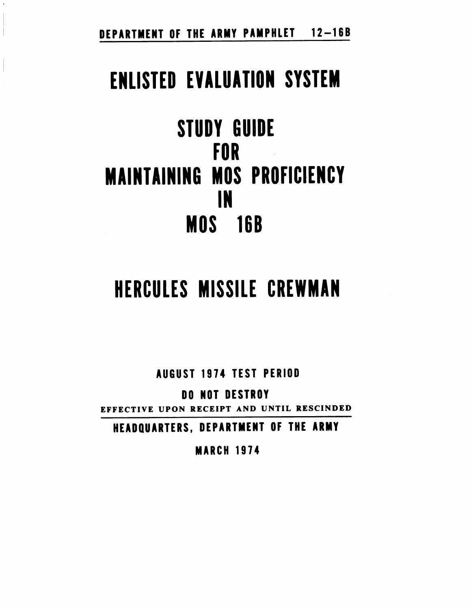DEPARTMENT OF THE ARMY PAMPHLET 12-16B

# ENLISTED EVALUATION SYSTEM

STUDY GUIDE r0R **MAINTAINING MOS PROFICIENCY** rll **MOS** 16B

# HERCULES MISSILE CREWMAN

AUGUST 1974 TEST PERIOD

DO NOT DESTROY

EFFECTIVE UPON RECEIPT AND UNTIL RESCINDED

HEADQUARTERS, DEPARTMENT OF THE ARMY

**MARCH 1974**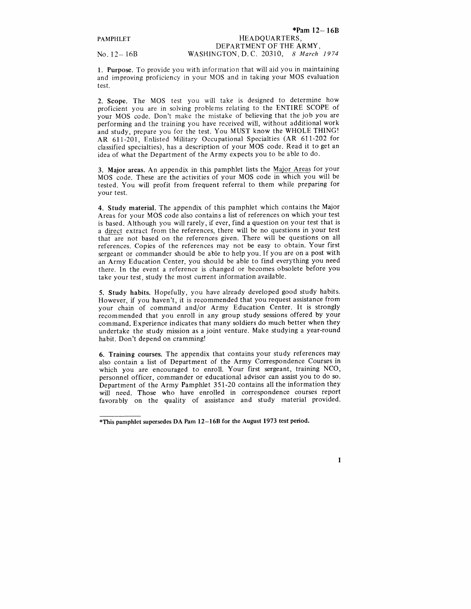No.  $12 - 16B$ 

#### \*Pam  $12 - 16B$ HEADQUAR'TERS, DEPARTMENT OF THE ARMY, WASHINGTON,D.C. 20310, 8 March 1974

1. Purpose. To provide you with information that will aid you in maintaining and improving proficiency in your MOS and in taking your MOS evaluation test.

2. Scope. The MOS test you will take is designed to determine how proficient you are in solving problems relating to the ENTIRE SCOPE of your MOS code. Don't make the mistake of believing that the job you are performing and the training you have received will, without additional work and study, prepare you for the test. You MUST know the WHOLE THING! AR 6ll-2O1, Enlisted Military Occupational Specialties (AR 6ll-202 for classified specialties), has a description of your MOS code. Read it to get an idea of what the Department of the Army expects you to be able to do.

3. Major areas. An appendix in this pamphlet lists the Major Areas for your MOS code. These are the activities of your MOS code in which you will be tested. You will profit from frequent referral to them while preparing for your test.

4. Study material. The appendix of this pamphlet which contains the Major Areas for your MOS code also contains a list of references on which your test is based. Although you will rarely, if ever, find a question on your test that is a direct extract from the references, there will be no questions in your test that are not based on the references given. There will be questions on all references. Copies of the references may not be easy to obtain. Your first sergeant or commander should be able to help you. If you are on a post with an Army Education Center, you should be able to find everything you need there. In the event a reference is changed or becomes obsolete before you take your test, study the most current information available.

5. Study habits. Hopefully, you have already developed good study habits. However, if you haven't, it is recommended that you request assistance from your chain of command and/or Army Education Center. It is strongly recommended that you enroll in any group study sessions offered by your command. Experience indicates that many soldiers do much better when they undertake the study mission as a joint venture. Make studying a year-round habit. Don't depend on cramming!

6. Training courses. The appendix that contains your study references may also contain a list of Department of the Army Correspondence Courses in which you are encouraged to enroll. Your first sergeant, training NCO, personnel officer, commander or educational advisor can assist you to do so. Department of the Army Pamphlet 35I-2O contains all the information they will need. Those who have enrolled in correspondence courses report favorably on the quality of assistance and study material provided.

1

tThis pamphlet supersedes DA Pam l2-l68 for the August 1973 test period.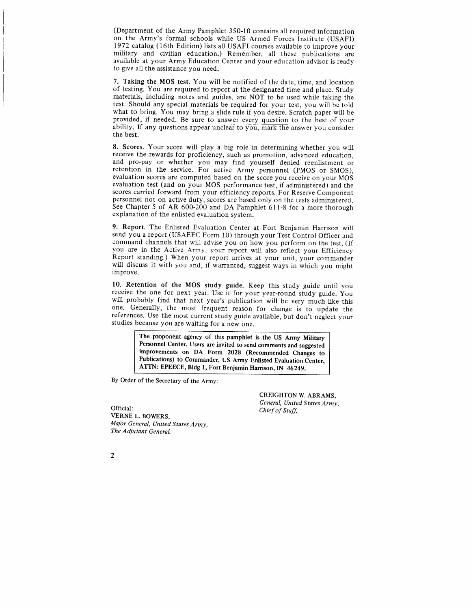(Department of the Army Pamphlet 350-10 contains all required information on the Army's formal schools while US Armed Forces Institute (USAFI) 1972 catalog (l6th Edition) lists all USAFI courses available to improve your military and civilian education.) Remember, all these publications are available at your Army Education Center and your education advisor is ready to give all the assistance you need.

7. Taking the MOS test. You will be notified of the date, time, and location of testing. You are required to report at the designated time and place. Study materials, including notes and guides, are NOT to be used while taking the test. Should any special materials be required for your test, you will be told what to bring. You may bring a slide rule if you desire. Scratch paper will be provided, if needed. Be sure to answer every question to the best of your ability. If any questions appear unclear to you, mark the answer you consider the best.

8. Scores. Your score will play a big role'in determining whether you will receive the rewards for proficiency, such as promotion, advanced education, and pro-pay or whether you may find yourself denied reenlistment or retention in the service. For active Army personnel (PMOS or SMoS), evaluation scores are computed based on the score you receive on your MOS evaluation test (and on your MOS performance test, if administered) and the scores carried forward from your efficiency reports. For Reserve Component personnel not on active duty, scores are based only on the tests administered. See Chapter 5 of AR 600-200 and DA Pamphlet 611-8 for a more thorough expianation of the enlisted evaluation system.

9. Report. The Enlisted Evaluation Center at Fort Benjamin Harrison will send you a report (USAEEC Form 10) through your Test Control Officer and command channels that will advise you on how you perform on the test. (If you are in the Active Army, your report will also reflect your Efficiency Report standing.) when your report arrives at your unit, your commander wiil discuss it with you and, if warranted, suggest ways in which you might improve.

10. Retention of the MoS study guide. Keep this study guide until you receive the one for next year. Use it for your year-round study guide. you will probably find that next year's publication will be very much like this one. Generally, the most frequent reason for change is to update the references. Use the most current study guide available, but don't neglect your studies because you are waiting for a new one.

> The proponent agency of this pamphlet is the US Army Military Personnel Center. Users are invited to send comments and suggested improvements on DA Form 2O2B (Recommended Changes to Publications) to Commander, US Army Enlisted Evaluation Center, ATTN: EPEECE, Bldg 1, Fort Benjamin Harrison, IN 46249.

By Order of the Secretary of the Army:

Official: VERNE L. BOWERS, Maior General, United States Army, The Adjutant General.

CREIGHTON W. ABRAMS. General, United States Army. Chief of Staff.

2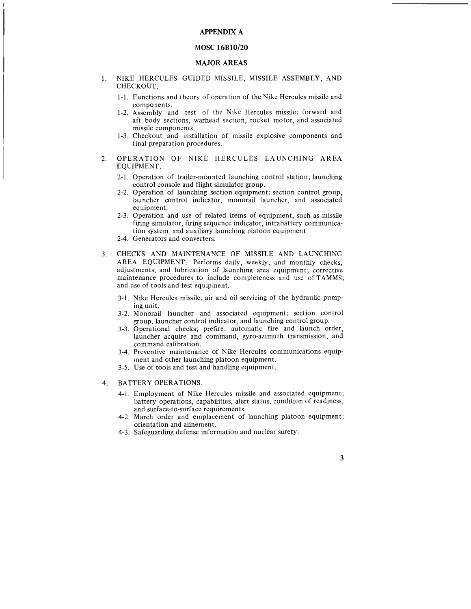#### **APPENDIX A**

# MOSC 16B10/20

#### MAJOR AREAS

- I. NIKE HERCULES GUIDED MISSILE, MISSILE ASSEMBLY. AND CHECKOUT.
	- 1-1. Functions and theory of operation of the Nike Hercules missile and components.
	- 1-2. Assembly and test of the Nike Hercules missile; forward and aft body sections, warhead section, rocket motor, and associated missile components.
	- 1-3. Checkout and installation of missile explosive components and final preparation procedures.
- 2. OPERATION OF NIKE HERCULES LAUNCHING AREA EQUIPMENT.
	- 2-1. Operation of trailer-mounted launching control station; launching control console and flight simulator group.
	- 2-2. Operation of launching section equipment; section control group, launcher control indicator, monorail launcher, and associated equipment.
	- 2-3. Operation and use of related items of equipment, such as missile firing simulator, firing sequence indicator, intrabattery communication system, and auxiliary launching platoon equipment.
	- 2-4. Generators and converters.
- 3. CHECKS AND MAINTENANCE OF MISSILE AND LAUNCHING AREA EQUIPMENT. Performs daily, weekly, and monthiy checks, adjustments, and lubrication of launching area equipment; corrective maintenance procedures to include completeness and use of TAMMS; and use of tools and test equipment.
	- 3-1. Nike Hercules missile; air and oil servicing of the hydraulic pumping unit.
	- 3-2. Monorail launcher and associated equipment; section control group, launcher control indicator, and launching control group.
	- 3-3. Operational checks; prefire, automatic fire and launch order, launcher acquire and command, gyro-azimuth transmission, and command calibration.
	- 3-4. Preventive maintenance of Nike Hercules communications equipment and other launching platoon equipment.
	- 3-5. Use of tools and test and handling equipment.
- 4. BATTERY OPERATIONS.
	- 4-1. Employment of Nike Hercuies missile and associated equipment; battery operations, capabilities, alert status, condition of readiness, and surface-to-surface requirements.
	- 4-2. March order and emplacement of launching platoon equipment; orientation and alinement.
	- 4-3. Safeguarding defense information and nuclear surety.

 $\overline{\mathbf{3}}$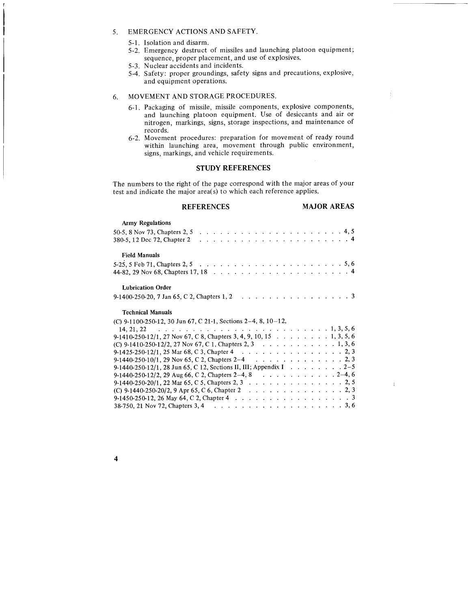# 5. EMERGENCY ACTIONS AND SAFETY.

- 5-1. Isolation and disarm.
- 5-2. Emergency destruct of missiles and launching platoon equipment; sequence, proper placement, and use of explosives.
- 5-3. Nuclear accidents and incidents
- 5-4. Safety: proper groundings, safety signs and precautions, explosive, and equipment operations.

### 6. MOVEMENT AND STORAGE PROCEDURES.

- 6-1. Packaglng of missile, missile components, explosive components, and launching platoon equipment. Use of desiccants and air or nitrogen, markings, signs, storage inspections, and maintenance of records.
- 6-2. Movement procedures: preparation for movement of ready round within launching area, movement through public environment, signs, markings, and vehicle requirements.

# STUDY REFERENCES

The numbers to the right of the page correspond with the major areas of your test and indicate the major area(s) to which each reference applies.

REFERENCES MAJOR AREAS

Ť

 $\ddot{\mathrm{i}}$ 

| <b>Army Regulations</b>                                                                      |  |
|----------------------------------------------------------------------------------------------|--|
|                                                                                              |  |
|                                                                                              |  |
| <b>Field Manuals</b>                                                                         |  |
|                                                                                              |  |
|                                                                                              |  |
| <b>Lubrication Order</b>                                                                     |  |
|                                                                                              |  |
| <b>Technical Manuals</b>                                                                     |  |
| (C) 9-1100-250-12, 30 Jun 67, C 21-1, Sections 2-4, 8, 10-12,                                |  |
|                                                                                              |  |
|                                                                                              |  |
| 9-1410-250-12/1, 27 Nov 67, C 8, Chapters 3, 4, 9, 10, 15 1, 3, 5, 6                         |  |
| (C) 9-1410-250-12/2, 27 Nov 67, C 1, Chapters 2, 3 1, 3, 6                                   |  |
| 9-1425-250-12/1, 25 Mar 68, C 3, Chapter 4 2, 3                                              |  |
| 9-1440-250-10/1, 29 Nov 65, C 2, Chapters 2-4 2, 3                                           |  |
| 9-1440-250-12/1, 28 Jun 65, C 12, Sections II, III; Appendix I 2–5                           |  |
| 9-1440-250-12/2, 29 Aug 66, C 2, Chapters 2–4, 8 $\ldots \ldots \ldots \ldots \ldots 2-4, 6$ |  |
| 9-1440-250-20/1, 22 Mar 65, C 5, Chapters 2, 3 2, 5                                          |  |
| (C) 9-1440-250-20/2, 9 Apr 65, C 6, Chapter 2 2, 3                                           |  |
| 9-1450-250-12, 26 May 64, C 2, Chapter 4 3                                                   |  |

 $\overline{\mathbf{4}}$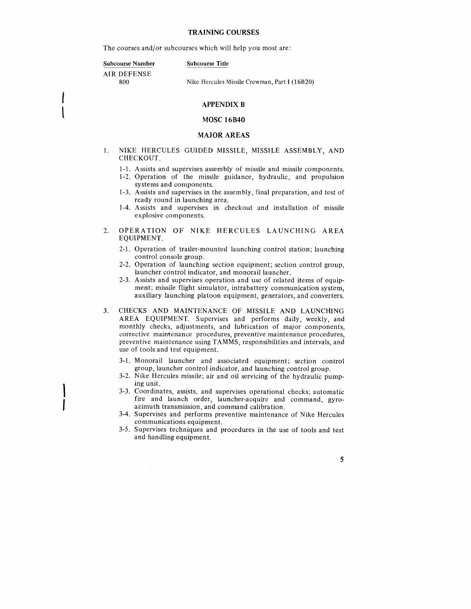#### TRAINING COURSES

The courses and/or subcourses which will help you most are:

Subcourse Number

Subcourse Title

ATR DEFENSE 800

Nike Hercules Missile Crewman, Part I (16B20)

#### APPENDIX B

#### MOSC I6840

#### MAJOR AREAS

- 1. NIKE HERCULES GUIDED MISSILE, MISSILE ASSEMBLY, AND CHECKOUT.
	- l-1. Assists and supervises assembly of missile and missile components.
	- 1-2. Operation of the missile guidance, hydraulic, and propulsion systems and components.
	- 1-3. Assists and supervises in the assembly, final preparation, and test of ready round in launching area.
	- <sup>I</sup>-4. Assists and supervises in checkout and installation of missile explosive components.
- $2.$ OPERATION OF NIKE HERCULES LAUNCHING AREA EQUIPMENT.
	- 2-1. Operation of trailer-mounted launching control station; launching control console group.
	- 2-2. Operation of launching section equipment; section control group, launcher control indicator, and monorail launcher.
	- 2-3. Assists and supervises operation and use of related items of equipment; missile flight simulator, intrabattery communication system, auxiliary launching platoon equipment, generators, and converters.
- CHECKS AND MAINTENANCE OF MISSILE AND LAUNCHING AREA EQUIPMENT. Supervises and performs daily, weekly, and monthly checks, adjustments, and lubrication of major components, corrective maintenance procedures, preventive maintenance procedures, preventive maintenance using TAMMS, responsibilities and intervals, and use of tools and test equipment. 3.
	- 3-1. Monorail launcher and associated equipment; section control group, launcher control indicator, and launching control group.
	- 3-2. Nike Hercules missile; air and oil servicing of the hydraulic pumping unit.
	- 3-3. Coordinates, assists, and supervises operational checks; automatic fire and launch order, launcher-acquire and command, gyroazimuth transmission. and command calibration.
	- 3-4. Supervises and performs preventive maintenance of Nike Hercules communications equipment.
	- 3-5. Supervises techniques and procedures in the use of tools and test and handling equipment.

5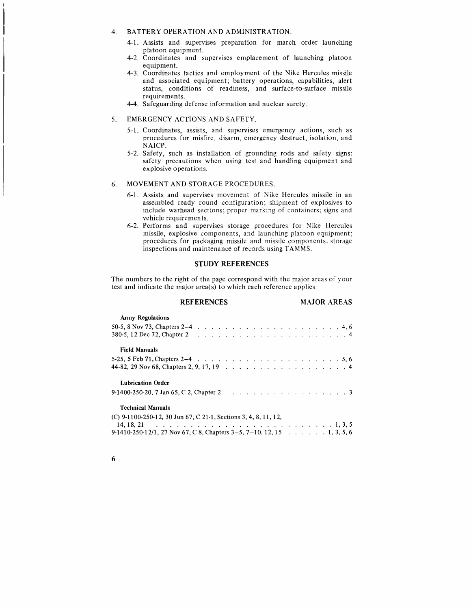# 4. BATTERY OPERATION AND ADMINISTRATION.

- 4-1. Assists and supervises preparation for march order launching platoon equipment.
- 4-2. Coordinates and supervises emplacement of launching platoon equipment.
- 4-3. Coordinates tactics and employment of the Nike Hercules missile and associated equipment; battery operations, capabilities, alert status, conditions of readiness, and surface-to-surface missile requirements.
- 4-4. Safeguarding defense information and nuclear surety.

#### 5. EMERGENCY ACTIONS AND SAFETY.

- 5-1. Coordinates, assists, and supervises emergency actions, such as procedures for misfire, disarm, emergency destruct, isolation, and NAICP.
- 5-2. Safety, such as installation of grounding rods and safety signs; safety precautions when using test and handling equipment and explosive operations.

### 6. MOVEMENT AND STORAGE PROCEDURES.

- 6-1. Assists and supervises movement of Nike Hercules missile in an assembled ready round configuration; shipment of explosives to include warhead sections; proper marking of containers; signs and vehicle requirements.
- 6-2. Performs and supervises storage procedures for Nike Hercules missile, explosive components, and launching platoon equipment; procedures for packaging missile and missile components: storage inspections and maintenance of records using TAMMS.

# STUDY REFERENCES

The numbers to the right of the page correspond with the major areas of your test and indicate the major area(s) to which each reference applies.

| <b>REFERENCES</b>                                                      |  | <b>MAJOR AREAS</b> |
|------------------------------------------------------------------------|--|--------------------|
| <b>Army Regulations</b>                                                |  |                    |
|                                                                        |  |                    |
|                                                                        |  |                    |
| <b>Field Manuals</b>                                                   |  |                    |
|                                                                        |  |                    |
|                                                                        |  |                    |
| <b>Lubrication Order</b>                                               |  |                    |
|                                                                        |  |                    |
| <b>Technical Manuals</b>                                               |  |                    |
| (C) $9-1100-250-12$ , 30 Jun 67, C 21-1, Sections 3, 4, 8, 11, 12,     |  |                    |
|                                                                        |  |                    |
| 9-1410-250-12/1, 27 Nov 67, C 8, Chapters 3–5, 7–10, 12, 15 1, 3, 5, 6 |  |                    |

|  |   | ٦ |
|--|---|---|
|  | ٧ | ٦ |